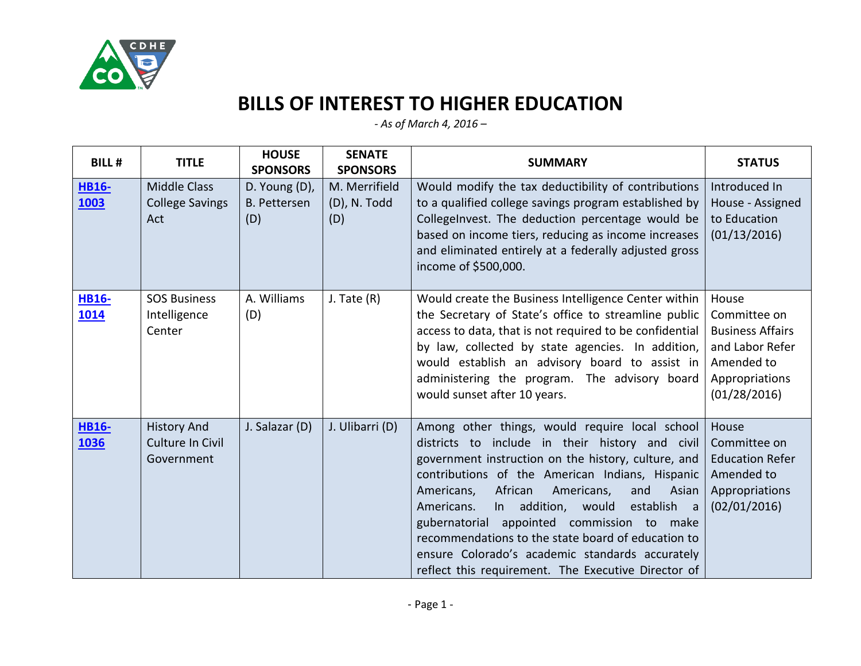

## **BILLS OF INTEREST TO HIGHER EDUCATION**

*- As of March 4, 2016 –*

| <b>BILL#</b>                | <b>TITLE</b>                                         | <b>HOUSE</b><br><b>SPONSORS</b>             | <b>SENATE</b><br><b>SPONSORS</b>     | <b>SUMMARY</b>                                                                                                                                                                                                                                                                                                                                                                                                                                                                                                                         | <b>STATUS</b>                                                                                                       |
|-----------------------------|------------------------------------------------------|---------------------------------------------|--------------------------------------|----------------------------------------------------------------------------------------------------------------------------------------------------------------------------------------------------------------------------------------------------------------------------------------------------------------------------------------------------------------------------------------------------------------------------------------------------------------------------------------------------------------------------------------|---------------------------------------------------------------------------------------------------------------------|
| <b>HB16-</b><br><b>1003</b> | <b>Middle Class</b><br><b>College Savings</b><br>Act | D. Young (D),<br><b>B. Pettersen</b><br>(D) | M. Merrifield<br>(D), N. Todd<br>(D) | Would modify the tax deductibility of contributions<br>to a qualified college savings program established by<br>CollegeInvest. The deduction percentage would be<br>based on income tiers, reducing as income increases<br>and eliminated entirely at a federally adjusted gross<br>income of \$500,000.                                                                                                                                                                                                                               | Introduced In<br>House - Assigned<br>to Education<br>(01/13/2016)                                                   |
| <b>HB16-</b><br>1014        | <b>SOS Business</b><br>Intelligence<br>Center        | A. Williams<br>(D)                          | J. Tate $(R)$                        | Would create the Business Intelligence Center within<br>the Secretary of State's office to streamline public<br>access to data, that is not required to be confidential<br>by law, collected by state agencies. In addition,<br>would establish an advisory board to assist in<br>administering the program. The advisory board<br>would sunset after 10 years.                                                                                                                                                                        | House<br>Committee on<br><b>Business Affairs</b><br>and Labor Refer<br>Amended to<br>Appropriations<br>(01/28/2016) |
| <b>HB16-</b><br>1036        | <b>History And</b><br>Culture In Civil<br>Government | J. Salazar (D)                              | J. Ulibarri (D)                      | Among other things, would require local school<br>districts to include in their history and civil<br>government instruction on the history, culture, and<br>contributions of the American Indians, Hispanic<br>African<br>Americans,<br>Americans,<br>and<br>Asian<br>addition, would<br>establish a<br>Americans.<br>In<br>gubernatorial appointed commission to make<br>recommendations to the state board of education to<br>ensure Colorado's academic standards accurately<br>reflect this requirement. The Executive Director of | House<br>Committee on<br><b>Education Refer</b><br>Amended to<br>Appropriations<br>(02/01/2016)                     |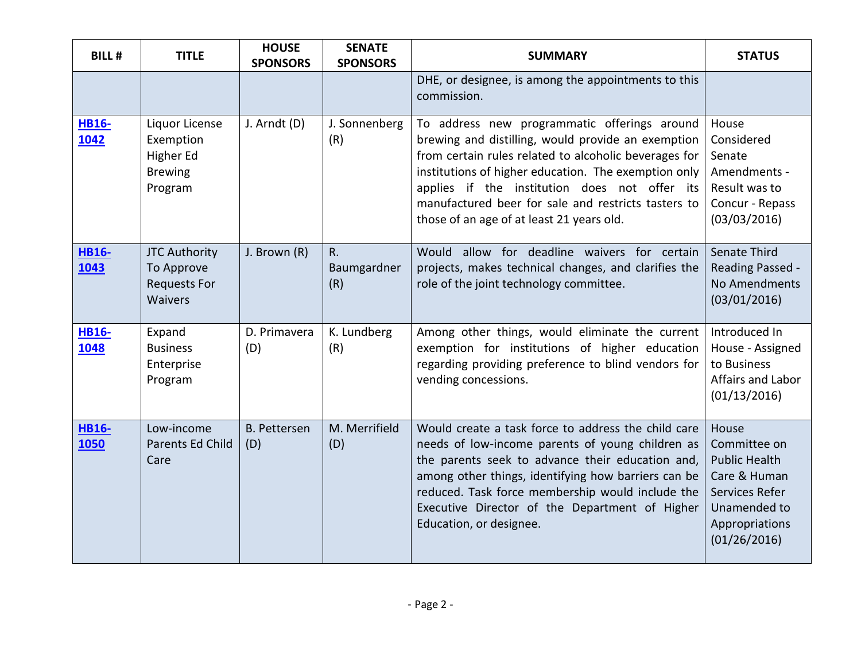| <b>BILL#</b>         | <b>TITLE</b>                                                                | <b>HOUSE</b><br><b>SPONSORS</b> | <b>SENATE</b><br><b>SPONSORS</b> | <b>SUMMARY</b>                                                                                                                                                                                                                                                                                                                                                           | <b>STATUS</b>                                                                                                                     |
|----------------------|-----------------------------------------------------------------------------|---------------------------------|----------------------------------|--------------------------------------------------------------------------------------------------------------------------------------------------------------------------------------------------------------------------------------------------------------------------------------------------------------------------------------------------------------------------|-----------------------------------------------------------------------------------------------------------------------------------|
|                      |                                                                             |                                 |                                  | DHE, or designee, is among the appointments to this<br>commission.                                                                                                                                                                                                                                                                                                       |                                                                                                                                   |
| <b>HB16-</b><br>1042 | Liquor License<br>Exemption<br>Higher Ed<br><b>Brewing</b><br>Program       | J. Arndt (D)                    | J. Sonnenberg<br>(R)             | To address new programmatic offerings around<br>brewing and distilling, would provide an exemption<br>from certain rules related to alcoholic beverages for<br>institutions of higher education. The exemption only<br>applies if the institution does not offer its<br>manufactured beer for sale and restricts tasters to<br>those of an age of at least 21 years old. | House<br>Considered<br>Senate<br>Amendments -<br>Result was to<br>Concur - Repass<br>(03/03/2016)                                 |
| <b>HB16-</b><br>1043 | <b>JTC Authority</b><br>To Approve<br><b>Requests For</b><br><b>Waivers</b> | J. Brown (R)                    | R.<br>Baumgardner<br>(R)         | Would allow for deadline waivers for certain<br>projects, makes technical changes, and clarifies the<br>role of the joint technology committee.                                                                                                                                                                                                                          | Senate Third<br>Reading Passed -<br>No Amendments<br>(03/01/2016)                                                                 |
| <b>HB16-</b><br>1048 | Expand<br><b>Business</b><br>Enterprise<br>Program                          | D. Primavera<br>(D)             | K. Lundberg<br>(R)               | Among other things, would eliminate the current<br>exemption for institutions of higher education<br>regarding providing preference to blind vendors for<br>vending concessions.                                                                                                                                                                                         | Introduced In<br>House - Assigned<br>to Business<br>Affairs and Labor<br>(01/13/2016)                                             |
| <b>HB16-</b><br>1050 | Low-income<br>Parents Ed Child<br>Care                                      | <b>B.</b> Pettersen<br>(D)      | M. Merrifield<br>(D)             | Would create a task force to address the child care<br>needs of low-income parents of young children as<br>the parents seek to advance their education and,<br>among other things, identifying how barriers can be<br>reduced. Task force membership would include the<br>Executive Director of the Department of Higher<br>Education, or designee.                      | House<br>Committee on<br><b>Public Health</b><br>Care & Human<br>Services Refer<br>Unamended to<br>Appropriations<br>(01/26/2016) |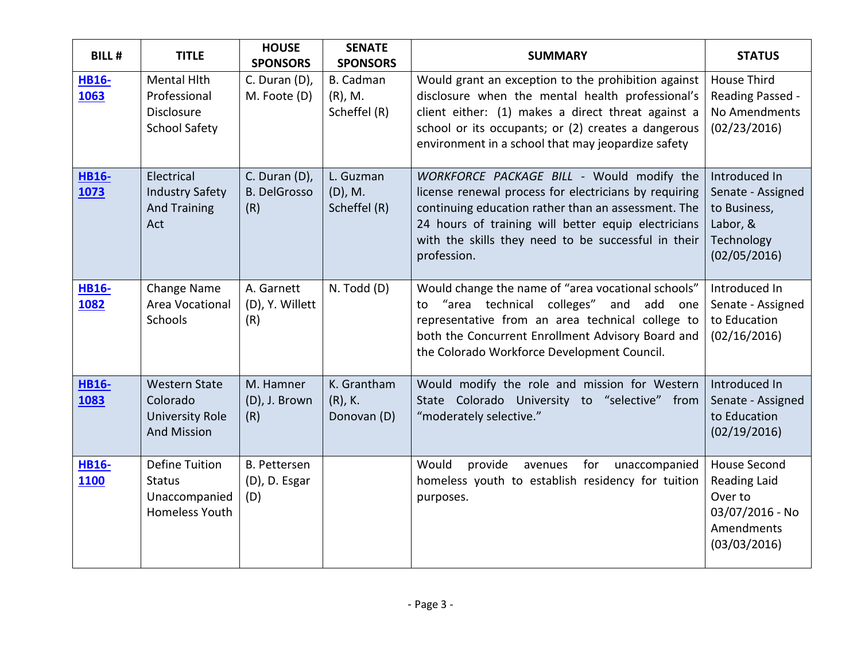| <b>BILL#</b>         | <b>TITLE</b>                                                                     | <b>HOUSE</b><br><b>SPONSORS</b>             | <b>SENATE</b><br><b>SPONSORS</b>         | <b>SUMMARY</b>                                                                                                                                                                                                                                                                         | <b>STATUS</b>                                                                                          |
|----------------------|----------------------------------------------------------------------------------|---------------------------------------------|------------------------------------------|----------------------------------------------------------------------------------------------------------------------------------------------------------------------------------------------------------------------------------------------------------------------------------------|--------------------------------------------------------------------------------------------------------|
| <b>HB16-</b><br>1063 | <b>Mental Hith</b><br>Professional<br>Disclosure<br><b>School Safety</b>         | C. Duran (D),<br>M. Foote (D)               | B. Cadman<br>$(R)$ , M.<br>Scheffel (R)  | Would grant an exception to the prohibition against<br>disclosure when the mental health professional's<br>client either: (1) makes a direct threat against a<br>school or its occupants; or (2) creates a dangerous<br>environment in a school that may jeopardize safety             | <b>House Third</b><br>Reading Passed -<br>No Amendments<br>(02/23/2016)                                |
| <b>HB16-</b><br>1073 | Electrical<br><b>Industry Safety</b><br><b>And Training</b><br>Act               | C. Duran (D),<br><b>B. DelGrosso</b><br>(R) | L. Guzman<br>$(D)$ , M.<br>Scheffel (R)  | WORKFORCE PACKAGE BILL - Would modify the<br>license renewal process for electricians by requiring<br>continuing education rather than an assessment. The<br>24 hours of training will better equip electricians<br>with the skills they need to be successful in their<br>profession. | Introduced In<br>Senate - Assigned<br>to Business,<br>Labor, &<br>Technology<br>(02/05/2016)           |
| <b>HB16-</b><br>1082 | Change Name<br>Area Vocational<br>Schools                                        | A. Garnett<br>(D), Y. Willett<br>(R)        | N. Todd (D)                              | Would change the name of "area vocational schools"<br>"area technical colleges" and add<br>to<br>one<br>representative from an area technical college to<br>both the Concurrent Enrollment Advisory Board and<br>the Colorado Workforce Development Council.                           | Introduced In<br>Senate - Assigned<br>to Education<br>(02/16/2016)                                     |
| <b>HB16-</b><br>1083 | <b>Western State</b><br>Colorado<br><b>University Role</b><br><b>And Mission</b> | M. Hamner<br>(D), J. Brown<br>(R)           | K. Grantham<br>$(R)$ , K.<br>Donovan (D) | Would modify the role and mission for Western<br>State Colorado University to "selective" from<br>"moderately selective."                                                                                                                                                              | Introduced In<br>Senate - Assigned<br>to Education<br>(02/19/2016)                                     |
| <b>HB16-</b><br>1100 | <b>Define Tuition</b><br><b>Status</b><br>Unaccompanied<br>Homeless Youth        | <b>B.</b> Pettersen<br>(D), D. Esgar<br>(D) |                                          | Would<br>provide<br>for<br>avenues<br>unaccompanied<br>homeless youth to establish residency for tuition<br>purposes.                                                                                                                                                                  | <b>House Second</b><br><b>Reading Laid</b><br>Over to<br>03/07/2016 - No<br>Amendments<br>(03/03/2016) |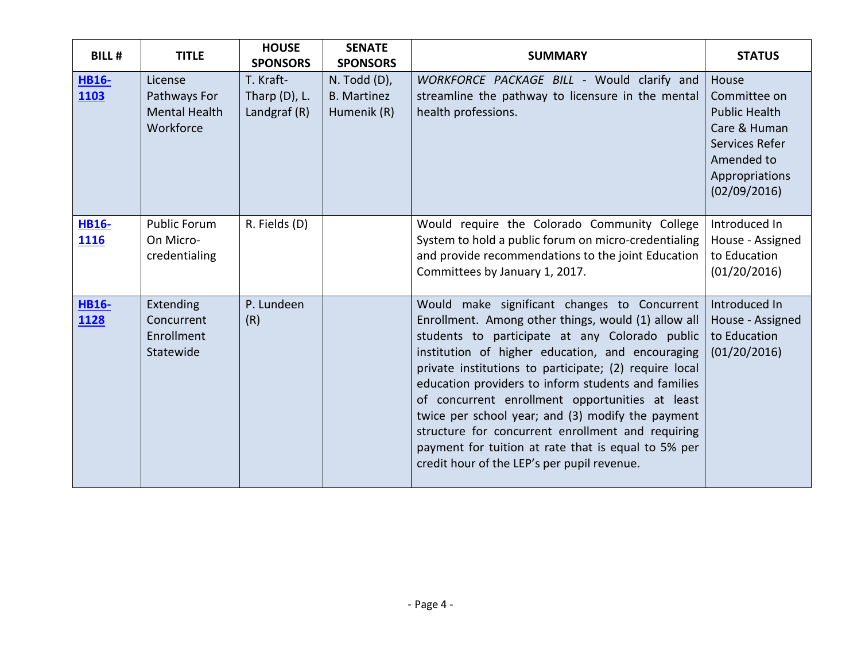| <b>BILL#</b>                | <b>TITLE</b>                                                 | <b>HOUSE</b><br><b>SPONSORS</b>                 | <b>SENATE</b><br><b>SPONSORS</b>                       | <b>SUMMARY</b>                                                                                                                                                                                                                                                                                                                                                                                                                                                                                                                                                                                | <b>STATUS</b>                                                                                                                   |
|-----------------------------|--------------------------------------------------------------|-------------------------------------------------|--------------------------------------------------------|-----------------------------------------------------------------------------------------------------------------------------------------------------------------------------------------------------------------------------------------------------------------------------------------------------------------------------------------------------------------------------------------------------------------------------------------------------------------------------------------------------------------------------------------------------------------------------------------------|---------------------------------------------------------------------------------------------------------------------------------|
| <b>HB16-</b><br><b>1103</b> | License<br>Pathways For<br><b>Mental Health</b><br>Workforce | T. Kraft-<br>Tharp $(D)$ , L.<br>Landgraf $(R)$ | $N.$ Todd $(D)$ ,<br><b>B.</b> Martinez<br>Humenik (R) | WORKFORCE PACKAGE BILL - Would clarify and<br>streamline the pathway to licensure in the mental<br>health professions.                                                                                                                                                                                                                                                                                                                                                                                                                                                                        | House<br>Committee on<br><b>Public Health</b><br>Care & Human<br>Services Refer<br>Amended to<br>Appropriations<br>(02/09/2016) |
| <b>HB16-</b><br>1116        | <b>Public Forum</b><br>On Micro-<br>credentialing            | R. Fields (D)                                   |                                                        | Would require the Colorado Community College<br>System to hold a public forum on micro-credentialing<br>and provide recommendations to the joint Education<br>Committees by January 1, 2017.                                                                                                                                                                                                                                                                                                                                                                                                  | Introduced In<br>House - Assigned<br>to Education<br>(01/20/2016)                                                               |
| <b>HB16-</b><br>1128        | Extending<br>Concurrent<br>Enrollment<br>Statewide           | P. Lundeen<br>(R)                               |                                                        | Would make significant changes to Concurrent<br>Enrollment. Among other things, would (1) allow all<br>students to participate at any Colorado public<br>institution of higher education, and encouraging<br>private institutions to participate; (2) require local<br>education providers to inform students and families<br>of concurrent enrollment opportunities at least<br>twice per school year; and (3) modify the payment<br>structure for concurrent enrollment and requiring<br>payment for tuition at rate that is equal to 5% per<br>credit hour of the LEP's per pupil revenue. | Introduced In<br>House - Assigned<br>to Education<br>(01/20/2016)                                                               |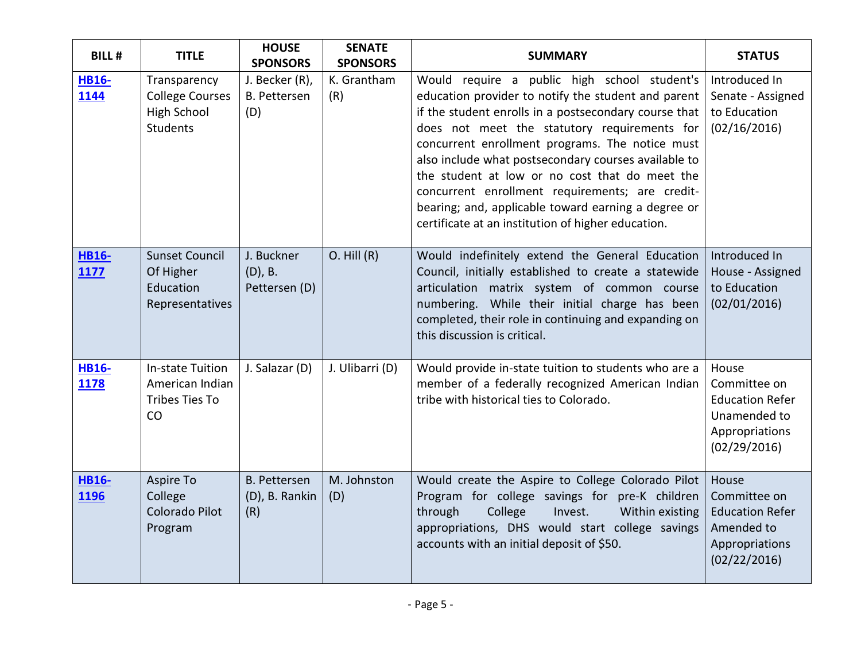| <b>BILL#</b>                | <b>TITLE</b>                                                                    | <b>HOUSE</b><br><b>SPONSORS</b>              | <b>SENATE</b><br><b>SPONSORS</b> | <b>SUMMARY</b>                                                                                                                                                                                                                                                                                                                                                                                                                                                                                                                            | <b>STATUS</b>                                                                                     |
|-----------------------------|---------------------------------------------------------------------------------|----------------------------------------------|----------------------------------|-------------------------------------------------------------------------------------------------------------------------------------------------------------------------------------------------------------------------------------------------------------------------------------------------------------------------------------------------------------------------------------------------------------------------------------------------------------------------------------------------------------------------------------------|---------------------------------------------------------------------------------------------------|
| <b>HB16-</b><br>1144        | Transparency<br><b>College Courses</b><br><b>High School</b><br><b>Students</b> | J. Becker (R),<br><b>B.</b> Pettersen<br>(D) | K. Grantham<br>(R)               | Would require a public high school student's<br>education provider to notify the student and parent<br>if the student enrolls in a postsecondary course that<br>does not meet the statutory requirements for<br>concurrent enrollment programs. The notice must<br>also include what postsecondary courses available to<br>the student at low or no cost that do meet the<br>concurrent enrollment requirements; are credit-<br>bearing; and, applicable toward earning a degree or<br>certificate at an institution of higher education. | Introduced In<br>Senate - Assigned<br>to Education<br>(02/16/2016)                                |
| <b>HB16-</b><br>1177        | <b>Sunset Council</b><br>Of Higher<br>Education<br>Representatives              | J. Buckner<br>$(D)$ , B.<br>Pettersen (D)    | $O.$ Hill $(R)$                  | Would indefinitely extend the General Education<br>Council, initially established to create a statewide<br>articulation matrix system of common course<br>numbering. While their initial charge has been<br>completed, their role in continuing and expanding on<br>this discussion is critical.                                                                                                                                                                                                                                          | Introduced In<br>House - Assigned<br>to Education<br>(02/01/2016)                                 |
| <b>HB16-</b><br>1178        | In-state Tuition<br>American Indian<br>Tribes Ties To<br>CO                     | J. Salazar (D)                               | J. Ulibarri (D)                  | Would provide in-state tuition to students who are a<br>member of a federally recognized American Indian<br>tribe with historical ties to Colorado.                                                                                                                                                                                                                                                                                                                                                                                       | House<br>Committee on<br><b>Education Refer</b><br>Unamended to<br>Appropriations<br>(02/29/2016) |
| <b>HB16-</b><br><b>1196</b> | Aspire To<br>College<br>Colorado Pilot<br>Program                               | <b>B.</b> Pettersen<br>(D), B. Rankin<br>(R) | M. Johnston<br>(D)               | Would create the Aspire to College Colorado Pilot<br>Program for college savings for pre-K children<br>through<br>College<br>Invest.<br>Within existing<br>appropriations, DHS would start college savings<br>accounts with an initial deposit of \$50.                                                                                                                                                                                                                                                                                   | House<br>Committee on<br><b>Education Refer</b><br>Amended to<br>Appropriations<br>(02/22/2016)   |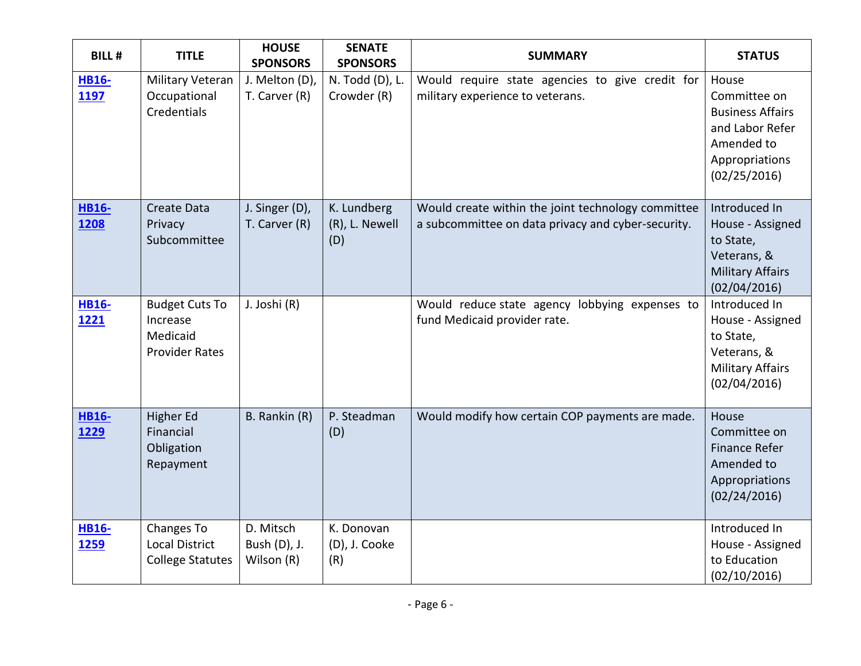| <b>BILL#</b>                | <b>TITLE</b>                                                           | <b>HOUSE</b><br><b>SPONSORS</b>         | <b>SENATE</b><br><b>SPONSORS</b>     | <b>SUMMARY</b>                                                                                           | <b>STATUS</b>                                                                                                       |
|-----------------------------|------------------------------------------------------------------------|-----------------------------------------|--------------------------------------|----------------------------------------------------------------------------------------------------------|---------------------------------------------------------------------------------------------------------------------|
| <b>HB16-</b><br>1197        | Military Veteran<br>Occupational<br>Credentials                        | J. Melton (D),<br>T. Carver (R)         | N. Todd (D), L.<br>Crowder (R)       | Would require state agencies to give credit for<br>military experience to veterans.                      | House<br>Committee on<br><b>Business Affairs</b><br>and Labor Refer<br>Amended to<br>Appropriations<br>(02/25/2016) |
| <b>HB16-</b><br>1208        | <b>Create Data</b><br>Privacy<br>Subcommittee                          | J. Singer (D),<br>T. Carver (R)         | K. Lundberg<br>(R), L. Newell<br>(D) | Would create within the joint technology committee<br>a subcommittee on data privacy and cyber-security. | Introduced In<br>House - Assigned<br>to State,<br>Veterans, &<br><b>Military Affairs</b><br>(02/04/2016)            |
| <b>HB16-</b><br>1221        | <b>Budget Cuts To</b><br>Increase<br>Medicaid<br><b>Provider Rates</b> | J. Joshi (R)                            |                                      | Would reduce state agency lobbying expenses to<br>fund Medicaid provider rate.                           | Introduced In<br>House - Assigned<br>to State,<br>Veterans, &<br><b>Military Affairs</b><br>(02/04/2016)            |
| <b>HB16-</b><br><u>1229</u> | Higher Ed<br>Financial<br>Obligation<br>Repayment                      | B. Rankin (R)                           | P. Steadman<br>(D)                   | Would modify how certain COP payments are made.                                                          | House<br>Committee on<br><b>Finance Refer</b><br>Amended to<br>Appropriations<br>(02/24/2016)                       |
| <b>HB16-</b><br><u>1259</u> | Changes To<br><b>Local District</b><br><b>College Statutes</b>         | D. Mitsch<br>Bush (D), J.<br>Wilson (R) | K. Donovan<br>(D), J. Cooke<br>(R)   |                                                                                                          | Introduced In<br>House - Assigned<br>to Education<br>(02/10/2016)                                                   |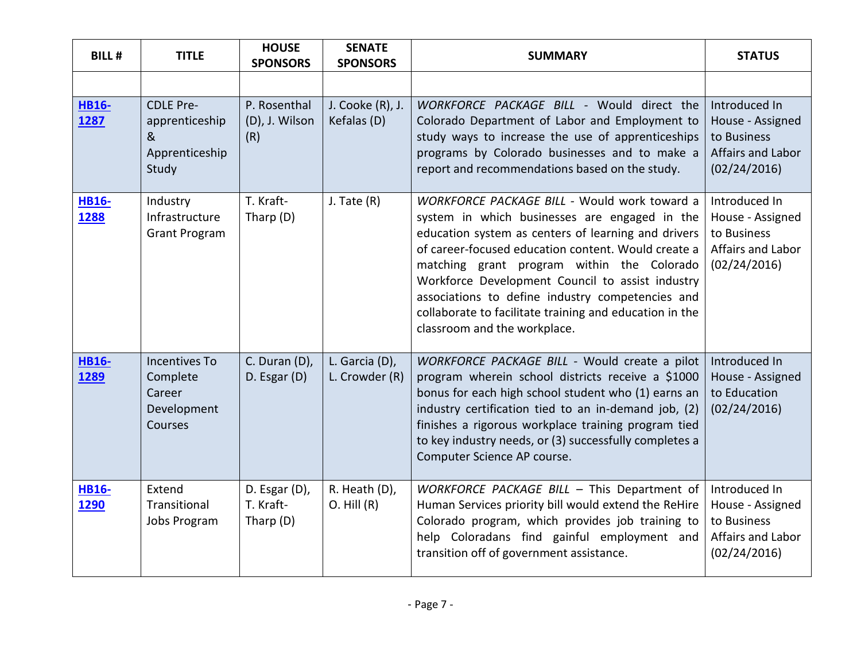| <b>BILL#</b>                | <b>TITLE</b>                                                         | <b>HOUSE</b><br><b>SPONSORS</b>           | <b>SENATE</b><br><b>SPONSORS</b> | <b>SUMMARY</b>                                                                                                                                                                                                                                                                                                                                                                                                                                               | <b>STATUS</b>                                                                         |
|-----------------------------|----------------------------------------------------------------------|-------------------------------------------|----------------------------------|--------------------------------------------------------------------------------------------------------------------------------------------------------------------------------------------------------------------------------------------------------------------------------------------------------------------------------------------------------------------------------------------------------------------------------------------------------------|---------------------------------------------------------------------------------------|
|                             |                                                                      |                                           |                                  |                                                                                                                                                                                                                                                                                                                                                                                                                                                              |                                                                                       |
| <b>HB16-</b><br>1287        | <b>CDLE Pre-</b><br>apprenticeship<br>&<br>Apprenticeship<br>Study   | P. Rosenthal<br>(D), J. Wilson<br>(R)     | J. Cooke (R), J.<br>Kefalas (D)  | WORKFORCE PACKAGE BILL - Would direct the<br>Colorado Department of Labor and Employment to<br>study ways to increase the use of apprenticeships<br>programs by Colorado businesses and to make a<br>report and recommendations based on the study.                                                                                                                                                                                                          | Introduced In<br>House - Assigned<br>to Business<br>Affairs and Labor<br>(02/24/2016) |
| <b>HB16-</b><br>1288        | Industry<br>Infrastructure<br><b>Grant Program</b>                   | T. Kraft-<br>Tharp (D)                    | $J.$ Tate $(R)$                  | WORKFORCE PACKAGE BILL - Would work toward a<br>system in which businesses are engaged in the<br>education system as centers of learning and drivers<br>of career-focused education content. Would create a<br>matching grant program within the Colorado<br>Workforce Development Council to assist industry<br>associations to define industry competencies and<br>collaborate to facilitate training and education in the<br>classroom and the workplace. | Introduced In<br>House - Assigned<br>to Business<br>Affairs and Labor<br>(02/24/2016) |
| <b>HB16-</b><br>1289        | <b>Incentives To</b><br>Complete<br>Career<br>Development<br>Courses | C. Duran (D),<br>D. Esgar (D)             | L. Garcia (D),<br>L. Crowder (R) | WORKFORCE PACKAGE BILL - Would create a pilot<br>program wherein school districts receive a \$1000<br>bonus for each high school student who (1) earns an<br>industry certification tied to an in-demand job, (2)<br>finishes a rigorous workplace training program tied<br>to key industry needs, or (3) successfully completes a<br>Computer Science AP course.                                                                                            | Introduced In<br>House - Assigned<br>to Education<br>(02/24/2016)                     |
| <b>HB16-</b><br><b>1290</b> | Extend<br>Transitional<br><b>Jobs Program</b>                        | D. Esgar (D),<br>T. Kraft-<br>Tharp $(D)$ | R. Heath (D),<br>$O.$ Hill $(R)$ | WORKFORCE PACKAGE BILL - This Department of<br>Human Services priority bill would extend the ReHire<br>Colorado program, which provides job training to<br>help Coloradans find gainful employment and<br>transition off of government assistance.                                                                                                                                                                                                           | Introduced In<br>House - Assigned<br>to Business<br>Affairs and Labor<br>(02/24/2016) |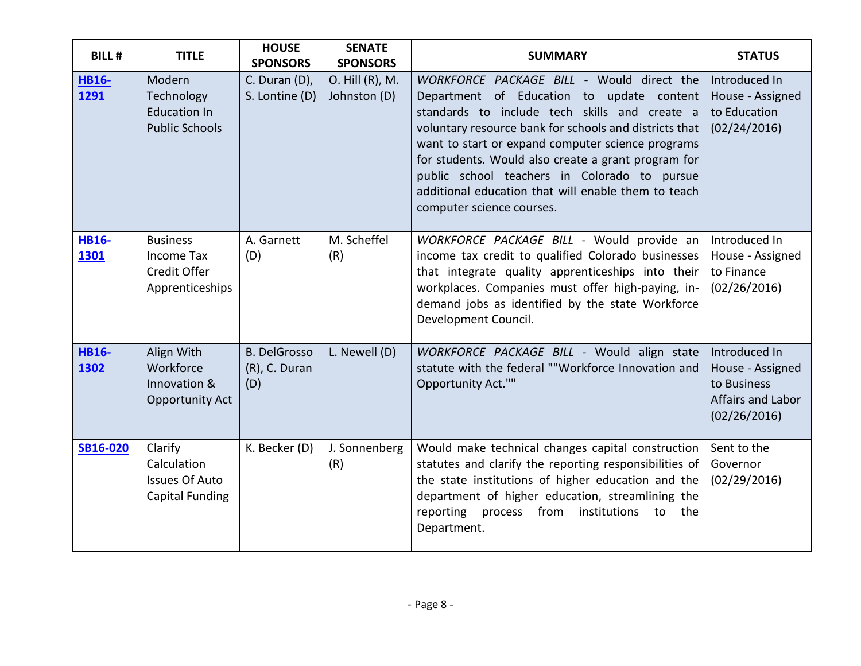| <b>BILL#</b>         | <b>TITLE</b>                                                              | <b>HOUSE</b><br><b>SPONSORS</b>             | <b>SENATE</b><br><b>SPONSORS</b> | <b>SUMMARY</b>                                                                                                                                                                                                                                                                                                                                                                                                                                    | <b>STATUS</b>                                                                         |
|----------------------|---------------------------------------------------------------------------|---------------------------------------------|----------------------------------|---------------------------------------------------------------------------------------------------------------------------------------------------------------------------------------------------------------------------------------------------------------------------------------------------------------------------------------------------------------------------------------------------------------------------------------------------|---------------------------------------------------------------------------------------|
| <b>HB16-</b><br>1291 | Modern<br>Technology<br><b>Education In</b><br><b>Public Schools</b>      | C. Duran (D),<br>S. Lontine (D)             | O. Hill (R), M.<br>Johnston (D)  | WORKFORCE PACKAGE BILL - Would direct the<br>Department of Education to update content<br>standards to include tech skills and create a<br>voluntary resource bank for schools and districts that<br>want to start or expand computer science programs<br>for students. Would also create a grant program for<br>public school teachers in Colorado to pursue<br>additional education that will enable them to teach<br>computer science courses. | Introduced In<br>House - Assigned<br>to Education<br>(02/24/2016)                     |
| <b>HB16-</b><br>1301 | <b>Business</b><br>Income Tax<br>Credit Offer<br>Apprenticeships          | A. Garnett<br>(D)                           | M. Scheffel<br>(R)               | WORKFORCE PACKAGE BILL - Would provide an<br>income tax credit to qualified Colorado businesses<br>that integrate quality apprenticeships into their<br>workplaces. Companies must offer high-paying, in-<br>demand jobs as identified by the state Workforce<br>Development Council.                                                                                                                                                             | Introduced In<br>House - Assigned<br>to Finance<br>(02/26/2016)                       |
| <b>HB16-</b><br>1302 | Align With<br>Workforce<br>Innovation &<br>Opportunity Act                | <b>B. DelGrosso</b><br>(R), C. Duran<br>(D) | L. Newell (D)                    | WORKFORCE PACKAGE BILL - Would align state<br>statute with the federal ""Workforce Innovation and<br>Opportunity Act.""                                                                                                                                                                                                                                                                                                                           | Introduced In<br>House - Assigned<br>to Business<br>Affairs and Labor<br>(02/26/2016) |
| <b>SB16-020</b>      | Clarify<br>Calculation<br><b>Issues Of Auto</b><br><b>Capital Funding</b> | K. Becker (D)                               | J. Sonnenberg<br>(R)             | Would make technical changes capital construction<br>statutes and clarify the reporting responsibilities of<br>the state institutions of higher education and the<br>department of higher education, streamlining the<br>reporting process from institutions<br>to the<br>Department.                                                                                                                                                             | Sent to the<br>Governor<br>(02/29/2016)                                               |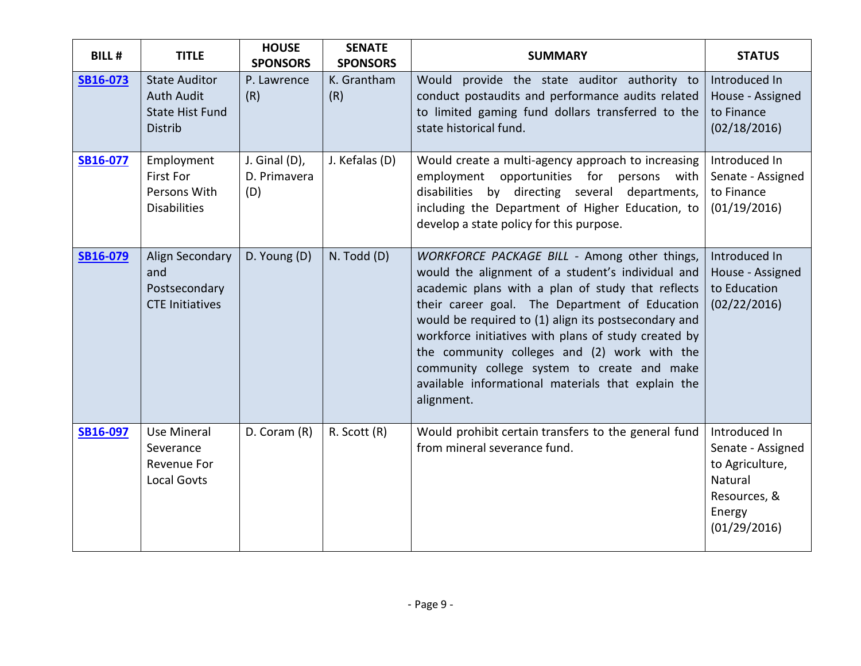| <b>BILL#</b> | <b>TITLE</b>                                                                          | <b>HOUSE</b><br><b>SPONSORS</b>      | <b>SENATE</b><br><b>SPONSORS</b> | <b>SUMMARY</b>                                                                                                                                                                                                                                                                                                                                                                                                                                                                              | <b>STATUS</b>                                                                                              |
|--------------|---------------------------------------------------------------------------------------|--------------------------------------|----------------------------------|---------------------------------------------------------------------------------------------------------------------------------------------------------------------------------------------------------------------------------------------------------------------------------------------------------------------------------------------------------------------------------------------------------------------------------------------------------------------------------------------|------------------------------------------------------------------------------------------------------------|
| SB16-073     | <b>State Auditor</b><br><b>Auth Audit</b><br><b>State Hist Fund</b><br><b>Distrib</b> | P. Lawrence<br>(R)                   | K. Grantham<br>(R)               | Would provide the state auditor authority to<br>conduct postaudits and performance audits related<br>to limited gaming fund dollars transferred to the<br>state historical fund.                                                                                                                                                                                                                                                                                                            | Introduced In<br>House - Assigned<br>to Finance<br>(02/18/2016)                                            |
| SB16-077     | Employment<br><b>First For</b><br>Persons With<br><b>Disabilities</b>                 | J. Ginal (D),<br>D. Primavera<br>(D) | J. Kefalas (D)                   | Would create a multi-agency approach to increasing<br>opportunities for<br>employment<br>persons with<br>disabilities by directing several departments,<br>including the Department of Higher Education, to<br>develop a state policy for this purpose.                                                                                                                                                                                                                                     | Introduced In<br>Senate - Assigned<br>to Finance<br>(01/19/2016)                                           |
| SB16-079     | Align Secondary<br>and<br>Postsecondary<br><b>CTE Initiatives</b>                     | D. Young (D)                         | N. Todd (D)                      | WORKFORCE PACKAGE BILL - Among other things,<br>would the alignment of a student's individual and<br>academic plans with a plan of study that reflects<br>their career goal. The Department of Education<br>would be required to (1) align its postsecondary and<br>workforce initiatives with plans of study created by<br>the community colleges and (2) work with the<br>community college system to create and make<br>available informational materials that explain the<br>alignment. | Introduced In<br>House - Assigned<br>to Education<br>(02/22/2016)                                          |
| SB16-097     | <b>Use Mineral</b><br>Severance<br>Revenue For<br><b>Local Govts</b>                  | D. Coram (R)                         | R. Scott (R)                     | Would prohibit certain transfers to the general fund<br>from mineral severance fund.                                                                                                                                                                                                                                                                                                                                                                                                        | Introduced In<br>Senate - Assigned<br>to Agriculture,<br>Natural<br>Resources, &<br>Energy<br>(01/29/2016) |